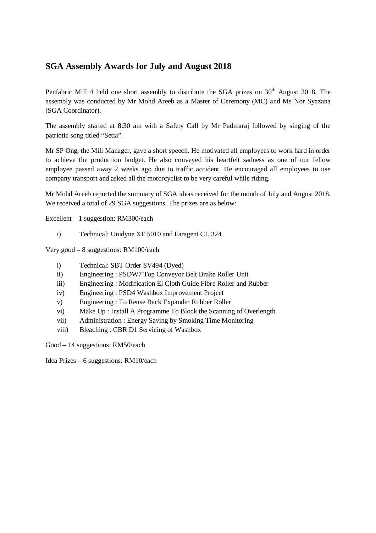## **SGA Assembly Awards for July and August 2018**

Penfabric Mill 4 held one short assembly to distribute the SGA prizes on  $30<sup>th</sup>$  August 2018. The assembly was conducted by Mr Mohd Areeb as a Master of Ceremony (MC) and Ms Nor Syazana (SGA Coordinator).

The assembly started at 8:30 am with a Safety Call by Mr Padmaraj followed by singing of the patriotic song titled "Setia".

Mr SP Ong, the Mill Manager, gave a short speech. He motivated all employees to work hard in order to achieve the production budget. He also conveyed his heartfelt sadness as one of our fellow employee passed away 2 weeks ago due to traffic accident. He encouraged all employees to use company transport and asked all the motorcyclist to be very careful while riding.

Mr Mohd Areeb reported the summary of SGA ideas received for the month of July and August 2018. We received a total of 29 SGA suggestions. The prizes are as below:

Excellent – 1 suggestion: RM300/each

i) Technical: Unidyne XF 5010 and Faragent CL 324

Very good – 8 suggestions: RM100/each

- i) Technical: SBT Order SV494 (Dyed)
- ii) Engineering : PSDW7 Top Conveyor Belt Brake Roller Unit
- iii) Engineering : Modification El Cloth Guide Fibre Roller and Rubber
- iv) Engineering : PSD4 Washbox Improvement Project
- v) Engineering : To Reuse Back Expander Rubber Roller
- vi) Make Up : Install A Programme To Block the Scanning of Overlength
- vii) Administration : Energy Saving by Smoking Time Monitoring
- viii) Bleaching : CBR D1 Servicing of Washbox

Good – 14 suggestions: RM50/each

Idea Prizes – 6 suggestions: RM10/each